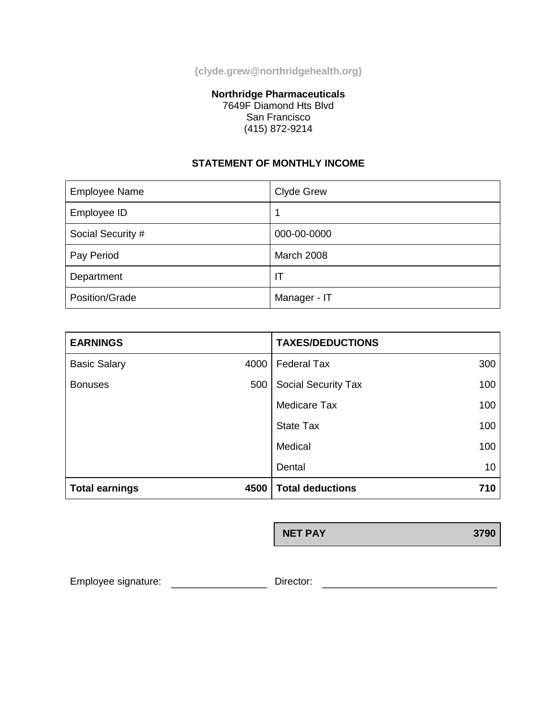**{clyde.grew@northridgehealth.org}**

### **Northridge Pharmaceuticals** 7649F Diamond Hts Blvd San Francisco (415) 872-9214

# **STATEMENT OF MONTHLY INCOME**

| <b>Employee Name</b> | <b>Clyde Grew</b> |
|----------------------|-------------------|
| Employee ID          |                   |
| Social Security #    | 000-00-0000       |
| Pay Period           | March 2008        |
| Department           | ΙT                |
| Position/Grade       | Manager - IT      |

| <b>EARNINGS</b>       |         | <b>TAXES/DEDUCTIONS</b>    |     |
|-----------------------|---------|----------------------------|-----|
| <b>Basic Salary</b>   | 4000    | <b>Federal Tax</b>         | 300 |
| <b>Bonuses</b>        | 500     | <b>Social Security Tax</b> | 100 |
|                       |         | <b>Medicare Tax</b>        | 100 |
|                       |         | <b>State Tax</b>           | 100 |
|                       | Medical | 100                        |     |
|                       |         | Dental                     | 10  |
| <b>Total earnings</b> | 4500    | <b>Total deductions</b>    | 710 |

**NET PAY 3790**

Employee signature: \_\_\_\_\_\_\_\_\_\_\_\_\_\_\_\_\_\_\_\_\_\_\_\_\_\_\_\_ Director: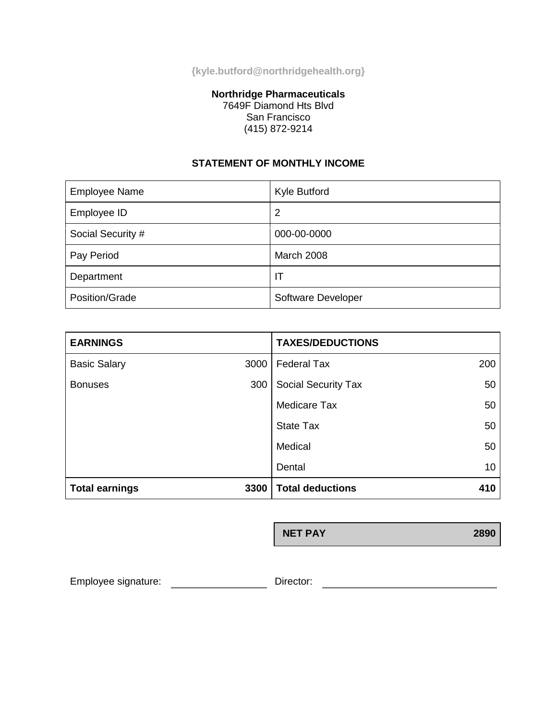**{kyle.butford@northridgehealth.org}**

### **Northridge Pharmaceuticals** 7649F Diamond Hts Blvd San Francisco (415) 872-9214

## **STATEMENT OF MONTHLY INCOME**

| <b>Employee Name</b> | Kyle Butford       |
|----------------------|--------------------|
| Employee ID          | 2                  |
| Social Security #    | 000-00-0000        |
| Pay Period           | <b>March 2008</b>  |
| Department           | ΙT                 |
| Position/Grade       | Software Developer |

| <b>EARNINGS</b>       |         | <b>TAXES/DEDUCTIONS</b>    |     |
|-----------------------|---------|----------------------------|-----|
| <b>Basic Salary</b>   | 3000    | <b>Federal Tax</b>         | 200 |
| <b>Bonuses</b>        | 300     | <b>Social Security Tax</b> | 50  |
|                       |         | <b>Medicare Tax</b>        | 50  |
|                       |         | <b>State Tax</b>           | 50  |
|                       | Medical | 50                         |     |
|                       |         | Dental                     | 10  |
| <b>Total earnings</b> | 3300    | <b>Total deductions</b>    | 410 |

**NET PAY 2890**

Employee signature: \_\_\_\_\_\_\_\_\_\_\_\_\_\_\_\_\_\_\_\_\_\_\_\_\_\_ Director: